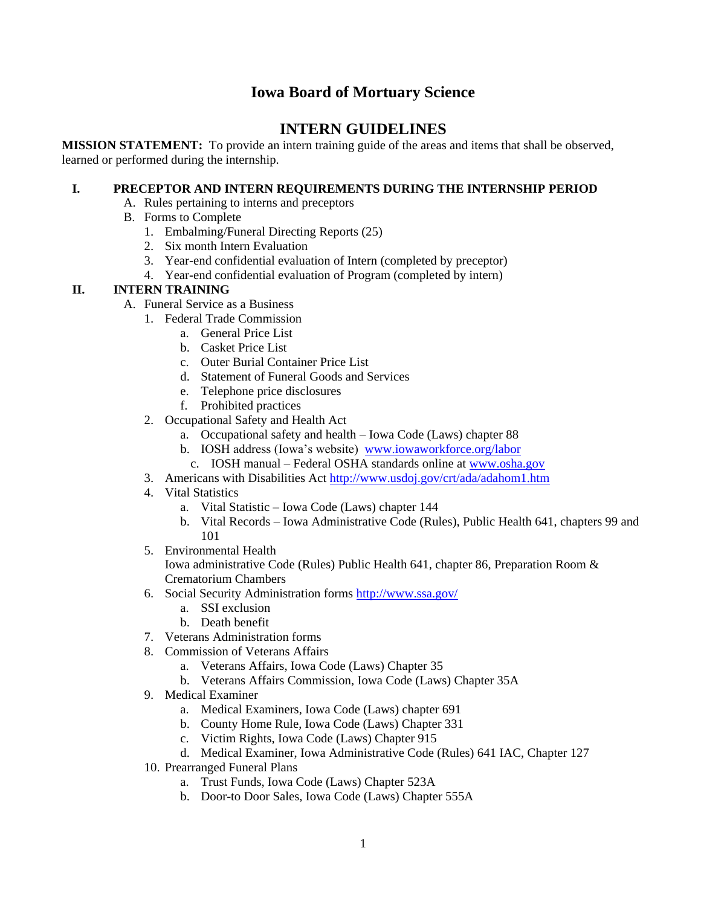## **Iowa Board of Mortuary Science**

# **INTERN GUIDELINES**

**MISSION STATEMENT:** To provide an intern training guide of the areas and items that shall be observed, learned or performed during the internship.

### **I. PRECEPTOR AND INTERN REQUIREMENTS DURING THE INTERNSHIP PERIOD**

- A. Rules pertaining to interns and preceptors
- B. Forms to Complete
	- 1. Embalming/Funeral Directing Reports (25)
	- 2. Six month Intern Evaluation
	- 3. Year-end confidential evaluation of Intern (completed by preceptor)
	- 4. Year-end confidential evaluation of Program (completed by intern)

#### **II. INTERN TRAINING**

- A. Funeral Service as a Business
	- 1. Federal Trade Commission
		- a. General Price List
		- b. Casket Price List
		- c. Outer Burial Container Price List
		- d. Statement of Funeral Goods and Services
		- e. Telephone price disclosures
		- f. Prohibited practices
	- 2. Occupational Safety and Health Act
		- a. Occupational safety and health Iowa Code (Laws) chapter 88
		- b. IOSH address (Iowa's website) [www.iowaworkforce.org/labor](http://www.iowaworkforce.org/labor)
		- c. IOSH manual Federal OSHA standards online at [www.osha.gov](http://www.osha.gov/)
	- 3. Americans with Disabilities Act<http://www.usdoj.gov/crt/ada/adahom1.htm>
	- 4. Vital Statistics
		- a. Vital Statistic Iowa Code (Laws) chapter 144
		- b. Vital Records Iowa Administrative Code (Rules), Public Health 641, chapters 99 and 101
	- 5. Environmental Health

Iowa administrative Code (Rules) Public Health 641, chapter 86, Preparation Room & Crematorium Chambers

- 6. Social Security Administration forms<http://www.ssa.gov/>
	- a. SSI exclusion
	- b. Death benefit
- 7. Veterans Administration forms
- 8. Commission of Veterans Affairs
	- a. Veterans Affairs, Iowa Code (Laws) Chapter 35
	- b. Veterans Affairs Commission, Iowa Code (Laws) Chapter 35A
- 9. Medical Examiner
	- a. Medical Examiners, Iowa Code (Laws) chapter 691
	- b. County Home Rule, Iowa Code (Laws) Chapter 331
	- c. Victim Rights, Iowa Code (Laws) Chapter 915
	- d. Medical Examiner, Iowa Administrative Code (Rules) 641 IAC, Chapter 127
- 10. Prearranged Funeral Plans
	- a. Trust Funds, Iowa Code (Laws) Chapter 523A
	- b. Door-to Door Sales, Iowa Code (Laws) Chapter 555A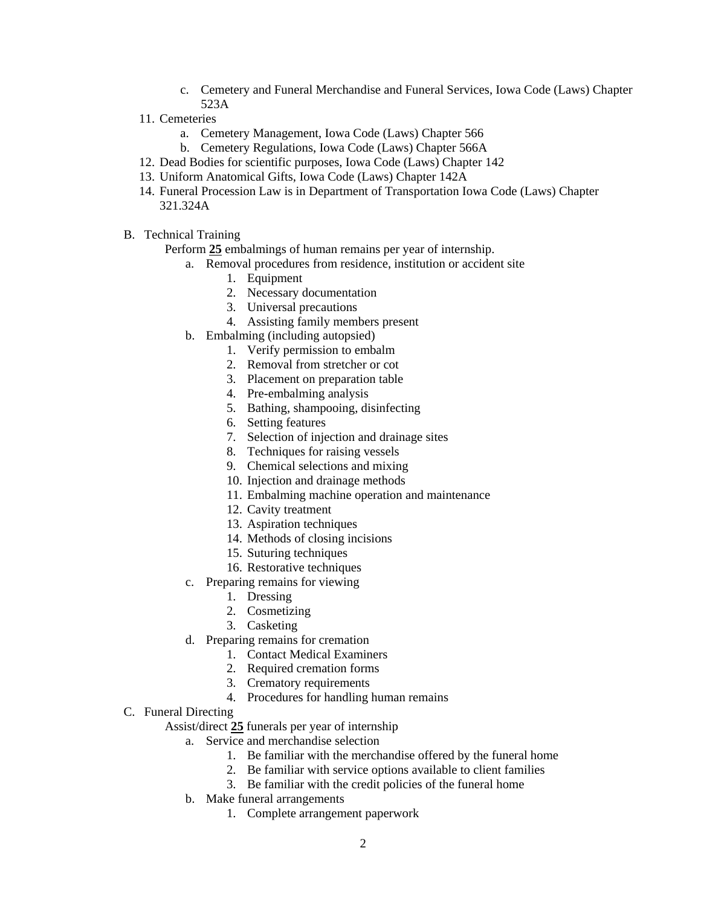- c. Cemetery and Funeral Merchandise and Funeral Services, Iowa Code (Laws) Chapter 523A
- 11. Cemeteries
	- a. Cemetery Management, Iowa Code (Laws) Chapter 566
	- b. Cemetery Regulations, Iowa Code (Laws) Chapter 566A
- 12. Dead Bodies for scientific purposes, Iowa Code (Laws) Chapter 142
- 13. Uniform Anatomical Gifts, Iowa Code (Laws) Chapter 142A
- 14. Funeral Procession Law is in Department of Transportation Iowa Code (Laws) Chapter 321.324A
- B. Technical Training

Perform **25** embalmings of human remains per year of internship.

- a. Removal procedures from residence, institution or accident site
	- 1. Equipment
	- 2. Necessary documentation
	- 3. Universal precautions
	- 4. Assisting family members present
- b. Embalming (including autopsied)
	- 1. Verify permission to embalm
	- 2. Removal from stretcher or cot
	- 3. Placement on preparation table
	- 4. Pre-embalming analysis
	- 5. Bathing, shampooing, disinfecting
	- 6. Setting features
	- 7. Selection of injection and drainage sites
	- 8. Techniques for raising vessels
	- 9. Chemical selections and mixing
	- 10. Injection and drainage methods
	- 11. Embalming machine operation and maintenance
	- 12. Cavity treatment
	- 13. Aspiration techniques
	- 14. Methods of closing incisions
	- 15. Suturing techniques
	- 16. Restorative techniques
- c. Preparing remains for viewing
	- 1. Dressing
	- 2. Cosmetizing
	- 3. Casketing
- d. Preparing remains for cremation
	- 1. Contact Medical Examiners
	- 2. Required cremation forms
	- 3. Crematory requirements
	- 4. Procedures for handling human remains

#### C. Funeral Directing

Assist/direct **25** funerals per year of internship

- a. Service and merchandise selection
	- 1. Be familiar with the merchandise offered by the funeral home
	- 2. Be familiar with service options available to client families
	- 3. Be familiar with the credit policies of the funeral home
- b. Make funeral arrangements
	- 1. Complete arrangement paperwork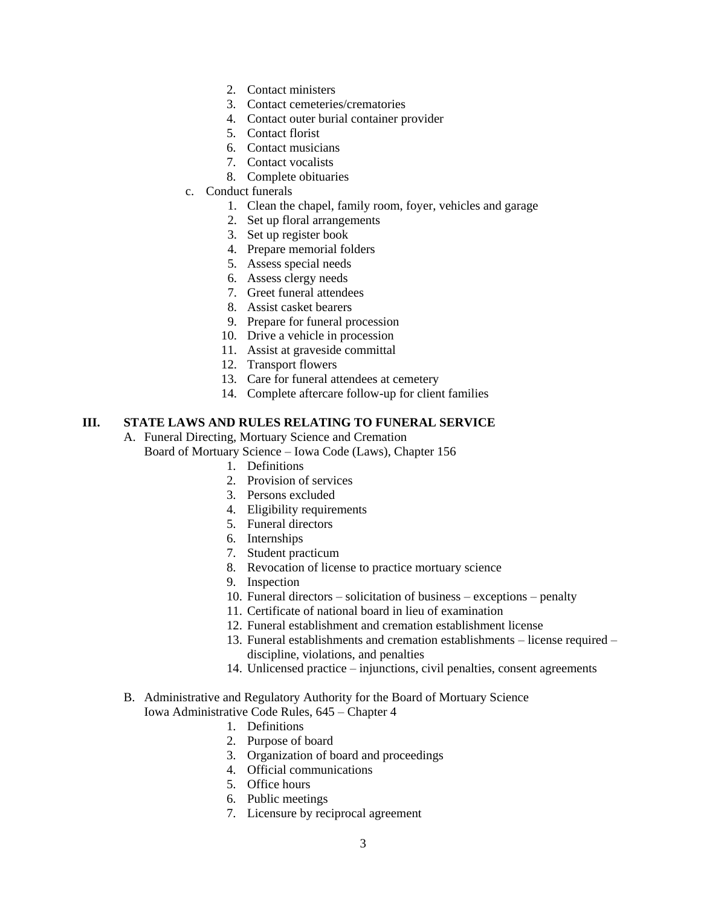- 2. Contact ministers
- 3. Contact cemeteries/crematories
- 4. Contact outer burial container provider
- 5. Contact florist
- 6. Contact musicians
- 7. Contact vocalists
- 8. Complete obituaries
- c. Conduct funerals
	- 1. Clean the chapel, family room, foyer, vehicles and garage
	- 2. Set up floral arrangements
	- 3. Set up register book
	- 4. Prepare memorial folders
	- 5. Assess special needs
	- 6. Assess clergy needs
	- 7. Greet funeral attendees
	- 8. Assist casket bearers
	- 9. Prepare for funeral procession
	- 10. Drive a vehicle in procession
	- 11. Assist at graveside committal
	- 12. Transport flowers
	- 13. Care for funeral attendees at cemetery
	- 14. Complete aftercare follow-up for client families

### **III. STATE LAWS AND RULES RELATING TO FUNERAL SERVICE**

- A. Funeral Directing, Mortuary Science and Cremation
	- Board of Mortuary Science Iowa Code (Laws), Chapter 156
		- 1. Definitions
		- 2. Provision of services
		- 3. Persons excluded
		- 4. Eligibility requirements
		- 5. Funeral directors
		- 6. Internships
		- 7. Student practicum
		- 8. Revocation of license to practice mortuary science
		- 9. Inspection
		- 10. Funeral directors solicitation of business exceptions penalty
		- 11. Certificate of national board in lieu of examination
		- 12. Funeral establishment and cremation establishment license
		- 13. Funeral establishments and cremation establishments license required discipline, violations, and penalties
		- 14. Unlicensed practice injunctions, civil penalties, consent agreements
- B. Administrative and Regulatory Authority for the Board of Mortuary Science Iowa Administrative Code Rules, 645 – Chapter 4
	- 1. Definitions
	- 2. Purpose of board
	- 3. Organization of board and proceedings
	- 4. Official communications
	- 5. Office hours
	- 6. Public meetings
	- 7. Licensure by reciprocal agreement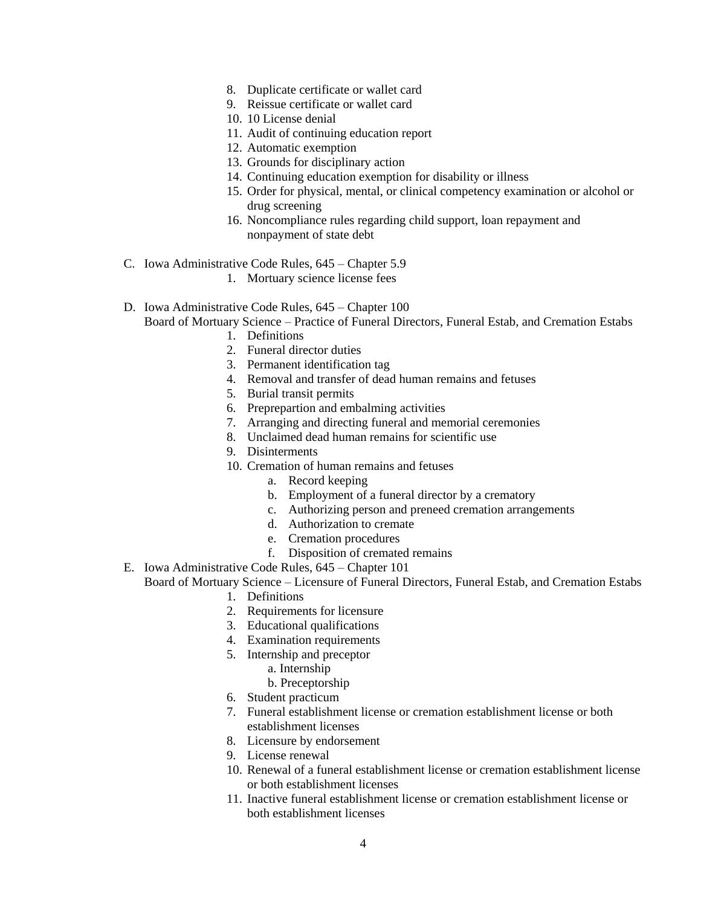- 8. Duplicate certificate or wallet card
- 9. Reissue certificate or wallet card
- 10. 10 License denial
- 11. Audit of continuing education report
- 12. Automatic exemption
- 13. Grounds for disciplinary action
- 14. Continuing education exemption for disability or illness
- 15. Order for physical, mental, or clinical competency examination or alcohol or drug screening
- 16. Noncompliance rules regarding child support, loan repayment and nonpayment of state debt
- C. Iowa Administrative Code Rules, 645 Chapter 5.9
	- 1. Mortuary science license fees
- D. Iowa Administrative Code Rules, 645 Chapter 100

Board of Mortuary Science – Practice of Funeral Directors, Funeral Estab, and Cremation Estabs

- 1. Definitions
- 2. Funeral director duties
- 3. Permanent identification tag
- 4. Removal and transfer of dead human remains and fetuses
- 5. Burial transit permits
- 6. Preprepartion and embalming activities
- 7. Arranging and directing funeral and memorial ceremonies
- 8. Unclaimed dead human remains for scientific use
- 9. Disinterments
- 10. Cremation of human remains and fetuses
	- a. Record keeping
	- b. Employment of a funeral director by a crematory
	- c. Authorizing person and preneed cremation arrangements
	- d. Authorization to cremate
	- e. Cremation procedures
	- f. Disposition of cremated remains
- E. Iowa Administrative Code Rules, 645 Chapter 101
- Board of Mortuary Science Licensure of Funeral Directors, Funeral Estab, and Cremation Estabs 1. Definitions
	- 2. Requirements for licensure
	- 3. Educational qualifications
	- 4. Examination requirements
	- 5. Internship and preceptor
		- a. Internship
		- b. Preceptorship
	- 6. Student practicum
	- 7. Funeral establishment license or cremation establishment license or both establishment licenses
	- 8. Licensure by endorsement
	- 9. License renewal
	- 10. Renewal of a funeral establishment license or cremation establishment license or both establishment licenses
	- 11. Inactive funeral establishment license or cremation establishment license or both establishment licenses